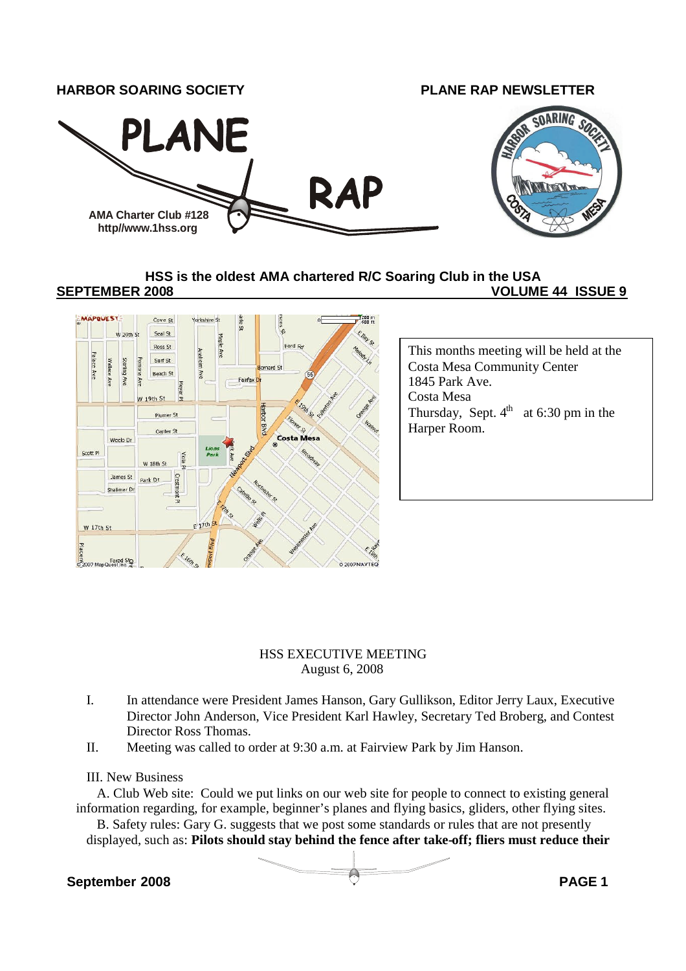

#### **HSS is the oldest AMA chartered R/C Soaring Club in the USA**

#### **SEPTEMBER 2008 VOLUME 44 ISSUE 9**



#### HSS EXECUTIVE MEETING August 6, 2008

- I. In attendance were President James Hanson, Gary Gullikson, Editor Jerry Laux, Executive Director John Anderson, Vice President Karl Hawley, Secretary Ted Broberg, and Contest Director Ross Thomas.
- II. Meeting was called to order at 9:30 a.m. at Fairview Park by Jim Hanson.

#### III. New Business

A. Club Web site: Could we put links on our web site for people to connect to existing general information regarding, for example, beginner's planes and flying basics, gliders, other flying sites.

B. Safety rules: Gary G. suggests that we post some standards or rules that are not presently displayed, such as: **Pilots should stay behind the fence after take-off; fliers must reduce their**

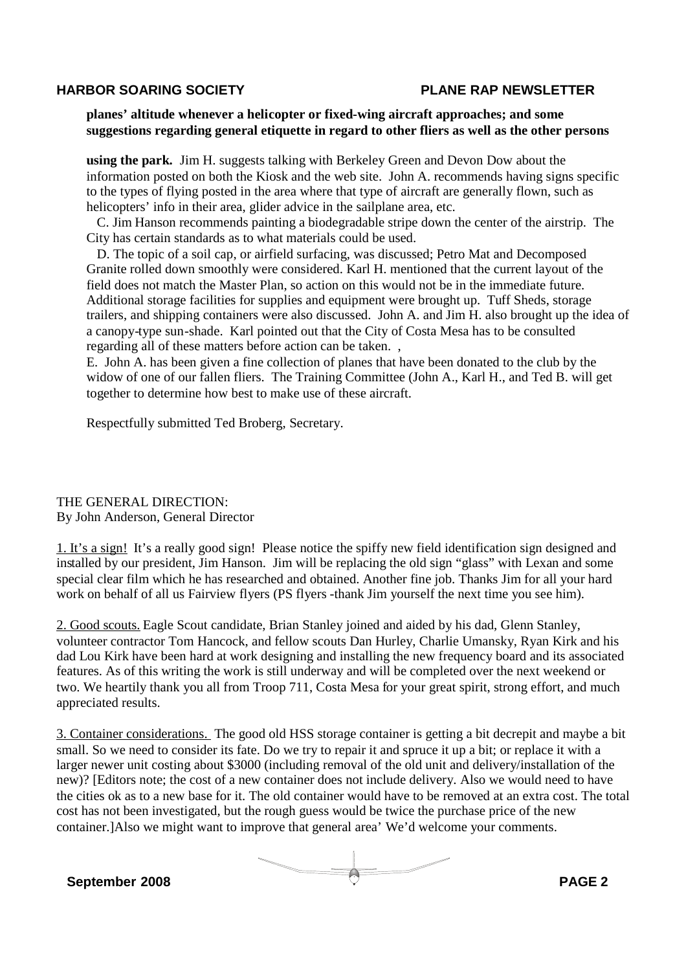#### **planes' altitude whenever a helicopter or fixed-wing aircraft approaches; and some suggestions regarding general etiquette in regard to other fliers as well as the other persons**

**using the park.** Jim H. suggests talking with Berkeley Green and Devon Dow about the information posted on both the Kiosk and the web site. John A. recommends having signs specific to the types of flying posted in the area where that type of aircraft are generally flown, such as helicopters' info in their area, glider advice in the sailplane area, etc.

C. Jim Hanson recommends painting a biodegradable stripe down the center of the airstrip. The City has certain standards as to what materials could be used.

D. The topic of a soil cap, or airfield surfacing, was discussed; Petro Mat and Decomposed Granite rolled down smoothly were considered. Karl H. mentioned that the current layout of the field does not match the Master Plan, so action on this would not be in the immediate future. Additional storage facilities for supplies and equipment were brought up. Tuff Sheds, storage trailers, and shipping containers were also discussed. John A. and Jim H. also brought up the idea of a canopy-type sun-shade. Karl pointed out that the City of Costa Mesa has to be consulted regarding all of these matters before action can be taken. ,

E. John A. has been given a fine collection of planes that have been donated to the club by the widow of one of our fallen fliers. The Training Committee (John A., Karl H., and Ted B. will get together to determine how best to make use of these aircraft.

Respectfully submitted Ted Broberg, Secretary.

THE GENERAL DIRECTION: By John Anderson, General Director

1. It's a sign! It's a really good sign! Please notice the spiffy new field identification sign designed and installed by our president, Jim Hanson. Jim will be replacing the old sign "glass" with Lexan and some special clear film which he has researched and obtained. Another fine job. Thanks Jim for all your hard work on behalf of all us Fairview flyers (PS flyers -thank Jim yourself the next time you see him).

2. Good scouts. Eagle Scout candidate, Brian Stanley joined and aided by his dad, Glenn Stanley, volunteer contractor Tom Hancock, and fellow scouts Dan Hurley, Charlie Umansky, Ryan Kirk and his dad Lou Kirk have been hard at work designing and installing the new frequency board and its associated features. As of this writing the work is still underway and will be completed over the next weekend or two. We heartily thank you all from Troop 711, Costa Mesa for your great spirit, strong effort, and much appreciated results.

3. Container considerations. The good old HSS storage container is getting a bit decrepit and maybe a bit small. So we need to consider its fate. Do we try to repair it and spruce it up a bit; or replace it with a larger newer unit costing about \$3000 (including removal of the old unit and delivery/installation of the new)? [Editors note; the cost of a new container does not include delivery. Also we would need to have the cities ok as to a new base for it. The old container would have to be removed at an extra cost. The total cost has not been investigated, but the rough guess would be twice the purchase price of the new container.]Also we might want to improve that general area' We'd welcome your comments.

**September 2008 PAGE 2**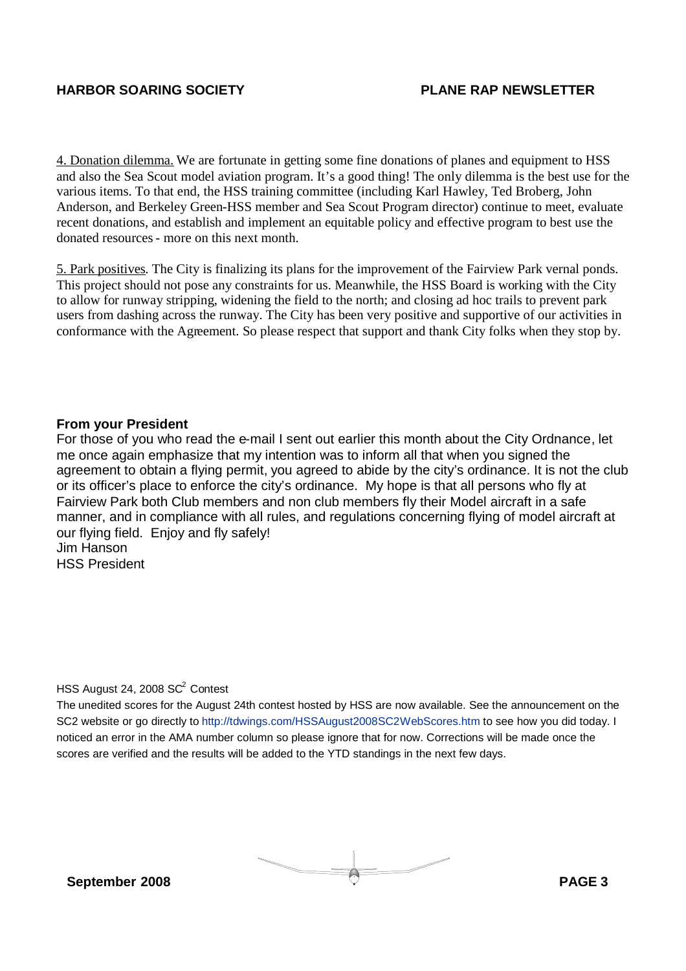4. Donation dilemma. We are fortunate in getting some fine donations of planes and equipment to HSS and also the Sea Scout model aviation program. It's a good thing! The only dilemma is the best use for the various items. To that end, the HSS training committee (including Karl Hawley, Ted Broberg, John Anderson, and Berkeley Green-HSS member and Sea Scout Program director) continue to meet, evaluate recent donations, and establish and implement an equitable policy and effective program to best use the donated resources- more on this next month.

5. Park positives. The City is finalizing its plans for the improvement of the Fairview Park vernal ponds. This project should not pose any constraints for us. Meanwhile, the HSS Board is working with the City to allow for runway stripping, widening the field to the north; and closing ad hoc trails to prevent park users from dashing across the runway. The City has been very positive and supportive of our activities in conformance with the Agreement. So please respect that support and thank City folks when they stop by.

#### **From your President**

For those of you who read the e-mail I sent out earlier this month about the City Ordnance, let me once again emphasize that my intention was to inform all that when you signed the agreement to obtain a flying permit, you agreed to abide by the city's ordinance. It is not the club or its officer's place to enforce the city's ordinance. My hope is that all persons who fly at Fairview Park both Club members and non club members fly their Model aircraft in a safe manner, and in compliance with all rules, and regulations concerning flying of model aircraft at our flying field. Enjoy and fly safely! Jim Hanson HSS President

#### HSS August 24, 2008 SC<sup>2</sup> Contest

The unedited scores for the August 24th contest hosted by HSS are now available. See the announcement on the SC2 website or go directly to http://tdwings.com/HSSAugust2008SC2WebScores.htm to see how you did today. I noticed an error in the AMA number column so please ignore that for now. Corrections will be made once the scores are verified and the results will be added to the YTD standings in the next few days.

**September 2008 PAGE 3**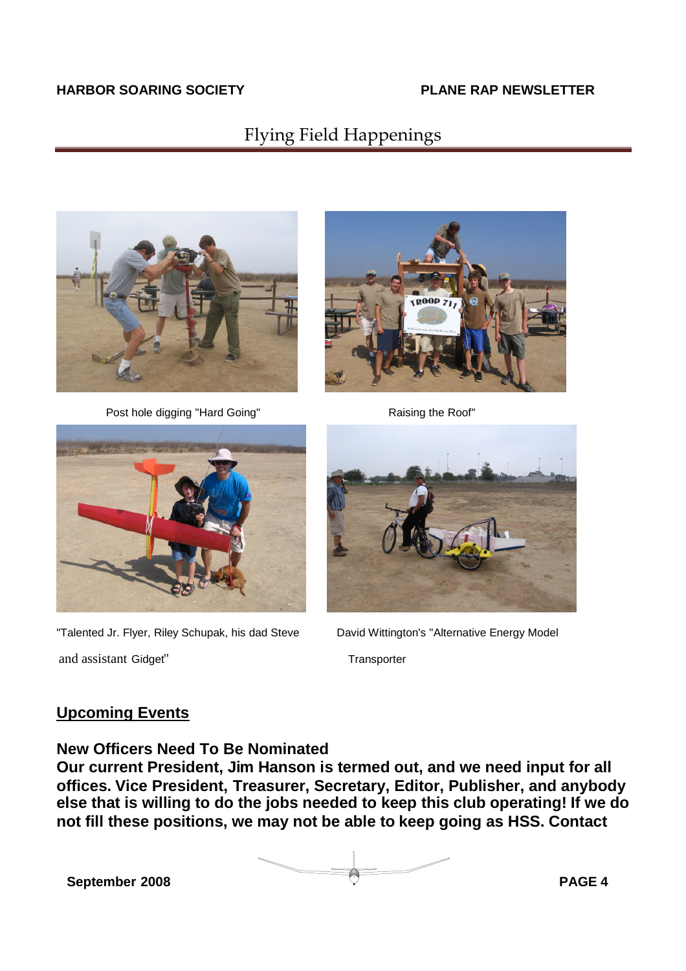## Flying Field Happenings



Post hole digging "Hard Going" Raising the Roof"





"Talented Jr. Flyer, Riley Schupak, his dad Steve David Wittington's "Alternative Energy Model and assistant Gidget" Transporter



### **Upcoming Events**

**New Officers Need To Be Nominated**

**Our current President, Jim Hanson is termed out, and we need input for all offices. Vice President, Treasurer, Secretary, Editor, Publisher, and anybody else that is willing to do the jobs needed to keep this club operating! If we do not fill these positions, we may not be able to keep going as HSS. Contact**

**September 2008 PAGE 4**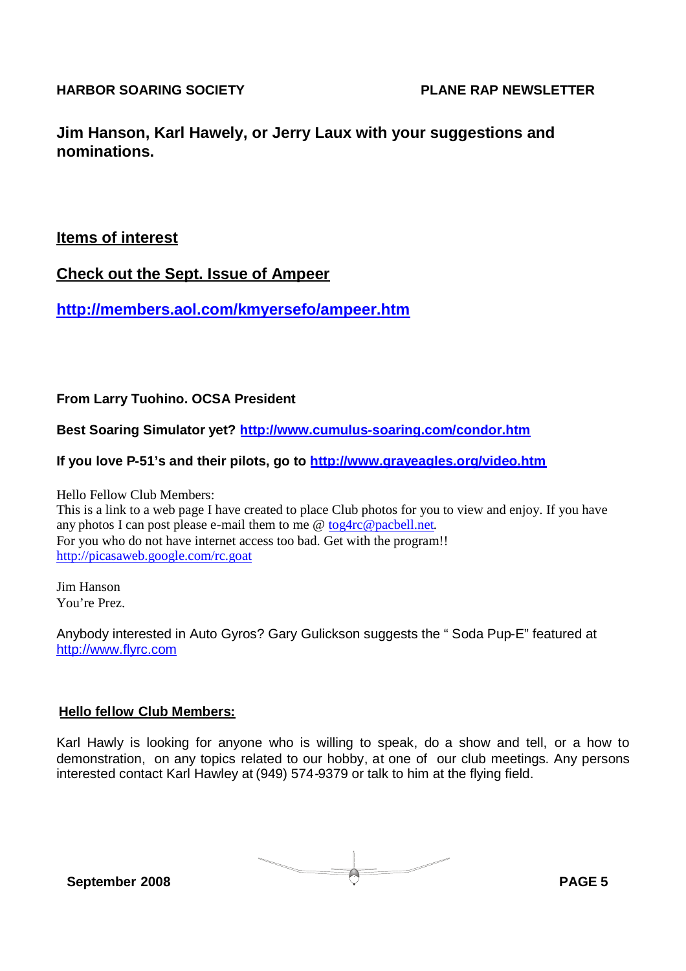**Jim Hanson, Karl Hawely, or Jerry Laux with your suggestions and nominations.**

### **Items of interest**

**Check out the Sept. Issue of Ampeer**

**http://members.aol.com/kmyersefo/ampeer.htm**

### **From Larry Tuohino. OCSA President**

**Best Soaring Simulator yet? http://www.cumulus-soaring.com/condor.htm**

#### **If you love P-51's and their pilots, go to http://www.grayeagles.org/video.htm**

Hello Fellow Club Members: This is a link to a web page I have created to place Club photos for you to view and enjoy. If you have any photos I can post please e-mail them to me @ tog4rc@pacbell.net. For you who do not have internet access too bad. Get with the program!! http://picasaweb.google.com/rc.goat

Jim Hanson You're Prez.

Anybody interested in Auto Gyros? Gary Gulickson suggests the " Soda Pup-E" featured at http://www.flyrc.com

#### **Hello fellow Club Members:**

Karl Hawly is looking for anyone who is willing to speak, do a show and tell, or a how to demonstration, on any topics related to our hobby, at one of our club meetings. Any persons interested contact Karl Hawley at (949) 574-9379 or talk to him at the flying field.

**September 2008 PAGE 5**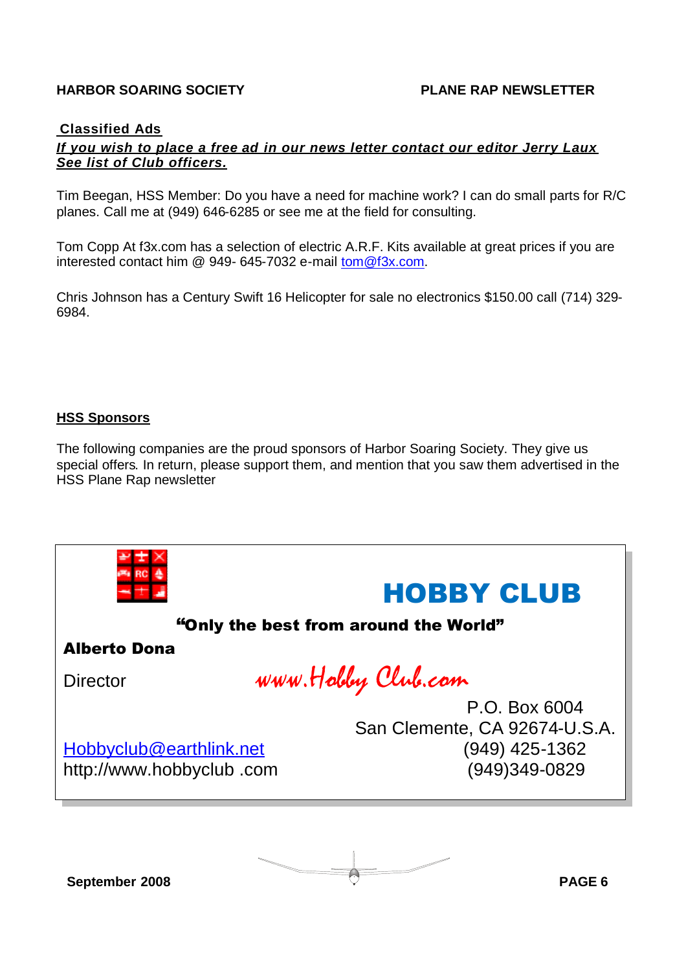#### **Classified Ads**

#### *If you wish to place a free ad in our news letter contact our editor Jerry Laux See list of Club officers.*

Tim Beegan, HSS Member: Do you have a need for machine work? I can do small parts for R/C planes. Call me at (949) 646-6285 or see me at the field for consulting.

Tom Copp At f3x.com has a selection of electric A.R.F. Kits available at great prices if you are interested contact him @ 949- 645-7032 e-mail tom@f3x.com.

Chris Johnson has a Century Swift 16 Helicopter for sale no electronics \$150.00 call (714) 329- 6984.

#### **HSS Sponsors**

The following companies are the proud sponsors of Harbor Soaring Society. They give us special offers. In return, please support them, and mention that you saw them advertised in the HSS Plane Rap newsletter



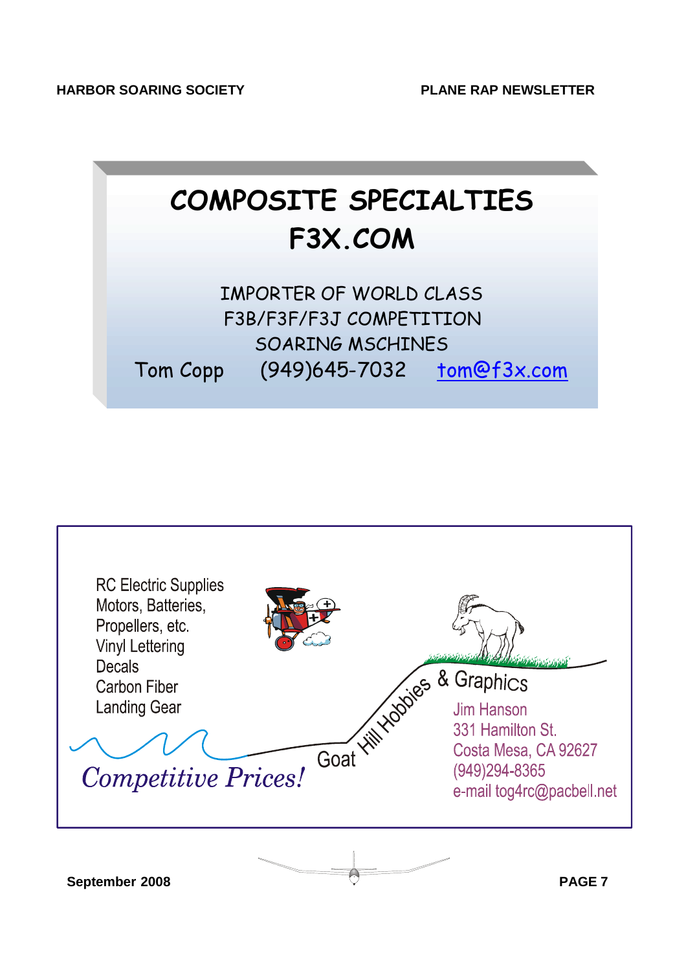## **COMPOSITE SPECIALTIES F3X.COM**

IMPORTER OF WORLD CLASS F3B/F3F/F3J COMPETITION SOARING MSCHINES Tom Copp (949)645-7032 tom@f3x.com



**September 2008 PAGE 7**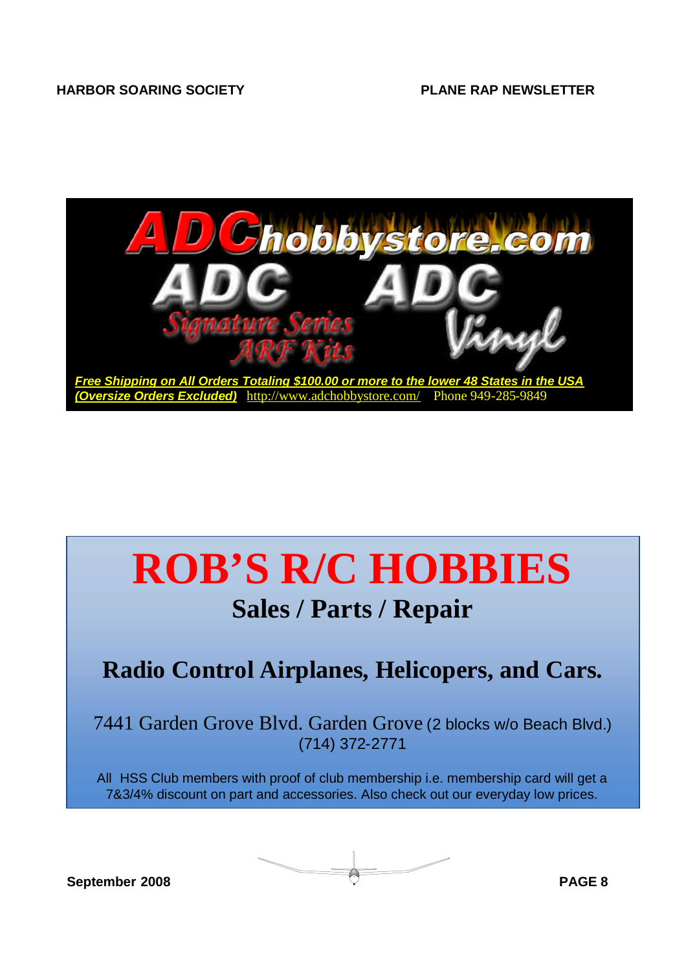

# **ROB'S R/C HOBBIES**

## **Sales / Parts / Repair**

## **Radio Control Airplanes, Helicopers, and Cars.**

7441 Garden Grove Blvd. Garden Grove (2 blocks w/o Beach Blvd.) (714) 372-2771

All HSS Club members with proof of club membership i.e. membership card will get a 7&3/4% discount on part and accessories. Also check out our everyday low prices.

**September 2008 PAGE 8**